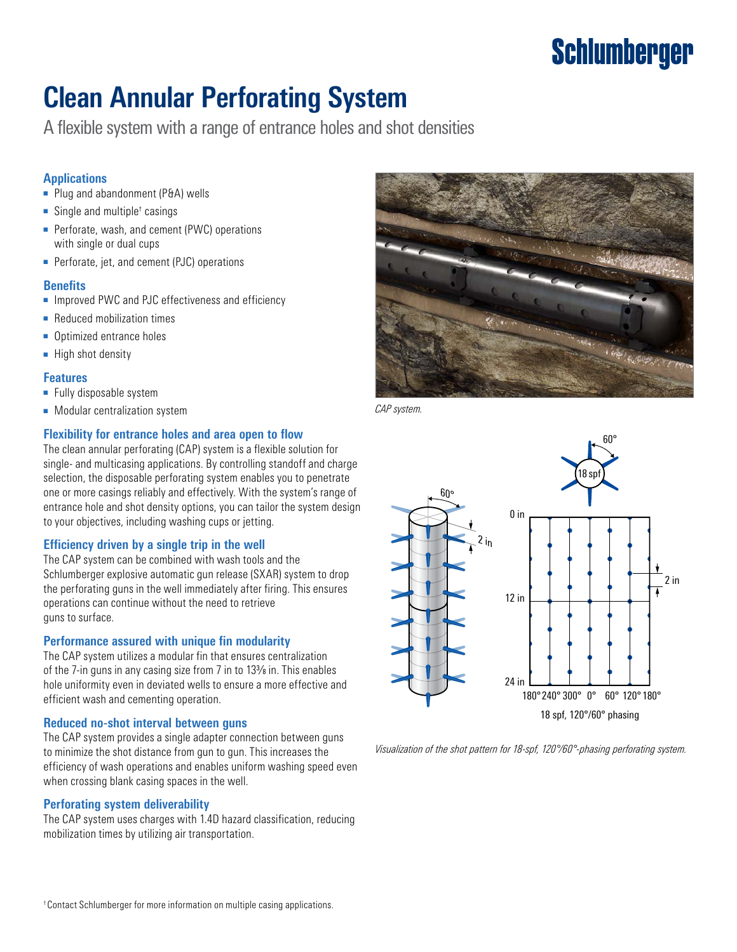# **Schlumberger**

## **Clean Annular Perforating System**

A flexible system with a range of entrance holes and shot densities

#### **Applications**

- Plug and abandonment (P&A) wells
- Single and multiple† casings
- Perforate, wash, and cement (PWC) operations with single or dual cups
- Perforate, jet, and cement (PJC) operations

#### **Benefits**

- Improved PWC and PJC effectiveness and efficiency
- Reduced mobilization times
- Optimized entrance holes
- High shot density

#### **Features**

- Fully disposable system
- Modular centralization system.<br>■ Modular centralization system.

#### Flexibility for entrance holes and area open to flow

The clean annular perforating (CAP) system is a flexible solution for single- and multicasing applications. By controlling standoff and charge selection, the disposable perforating system enables you to penetrate one or more casings reliably and effectively. With the system's range of entrance hole and shot density options, you can tailor the system design to your objectives, including washing cups or jetting.

#### **Efficiency driven by a single trip in the well**

The CAP system can be combined with wash tools and the Schlumberger explosive automatic gun release (SXAR) system to drop the perforating guns in the well immediately after firing. This ensures operations can continue without the need to retrieve guns to surface.

#### **Performance assured with unique fin modularity**

The CAP system utilizes a modular fin that ensures centralization of the 7-in guns in any casing size from 7 in to 133/8 in. This enables hole uniformity even in deviated wells to ensure a more effective and efficient wash and cementing operation.

### **Reduced no-shot interval between guns**

The CAP system provides a single adapter connection between guns to minimize the shot distance from gun to gun. This increases the efficiency of wash operations and enables uniform washing speed even when crossing blank casing spaces in the well.

#### **Perforating system deliverability**

The CAP system uses charges with 1.4D hazard classification, reducing mobilization times by utilizing air transportation.





*Visualization of the shot pattern for 18-spf, 120°/60°-phasing perforating system.*